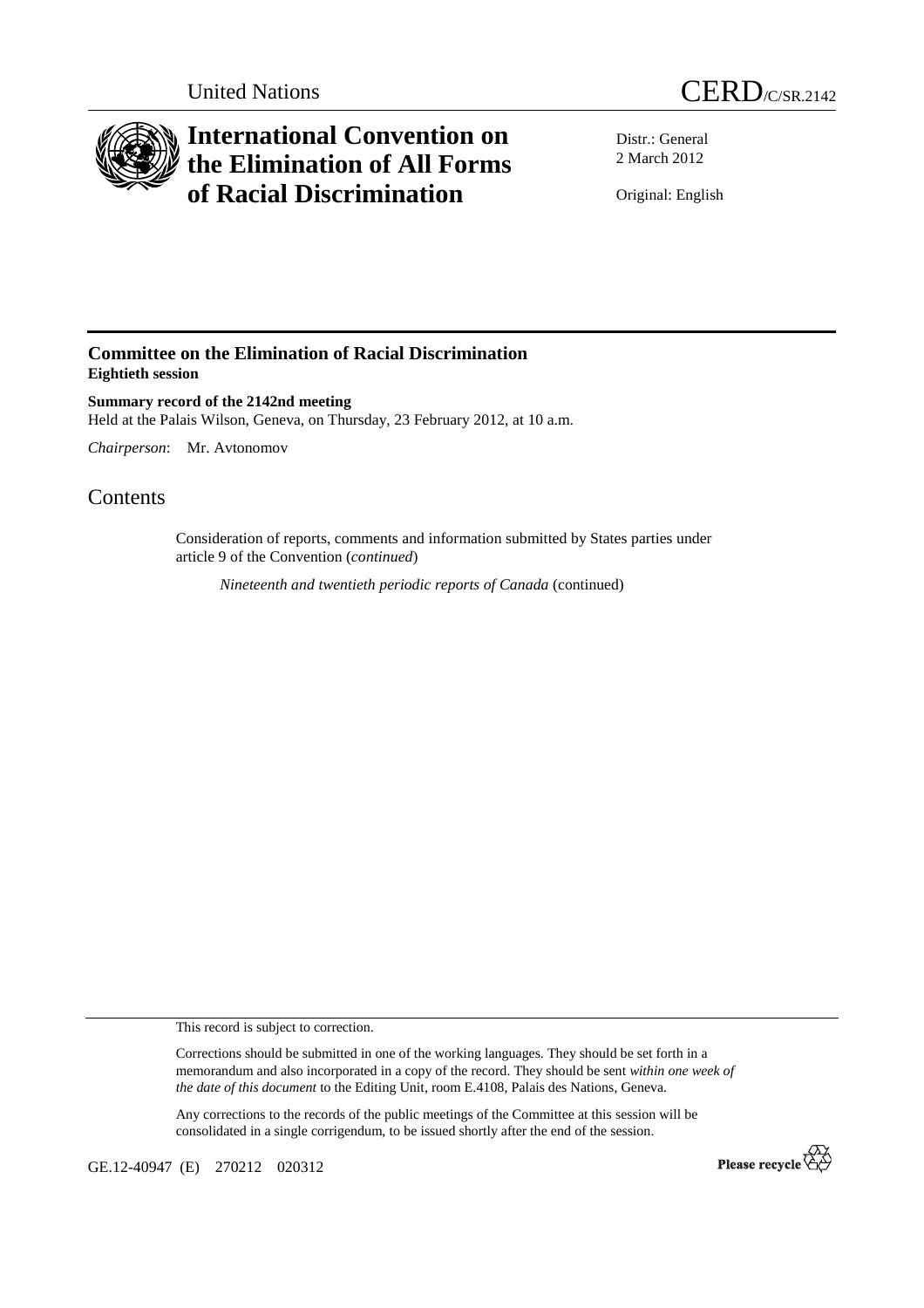



## **International Convention on the Elimination of All Forms of Racial Discrimination**

Distr.: General 2 March 2012

Original: English

## **Committee on the Elimination of Racial Discrimination Eightieth session**

**Summary record of the 2142nd meeting**  Held at the Palais Wilson, Geneva, on Thursday, 23 February 2012, at 10 a.m.

*Chairperson*: Mr. Avtonomov

## **Contents**

Consideration of reports, comments and information submitted by States parties under article 9 of the Convention (*continued*)

*Nineteenth and twentieth periodic reports of Canada* (continued)

This record is subject to correction.

Corrections should be submitted in one of the working languages. They should be set forth in a memorandum and also incorporated in a copy of the record. They should be sent *within one week of the date of this document* to the Editing Unit, room E.4108, Palais des Nations, Geneva.

Any corrections to the records of the public meetings of the Committee at this session will be consolidated in a single corrigendum, to be issued shortly after the end of the session.

GE.12-40947 (E) 270212 020312

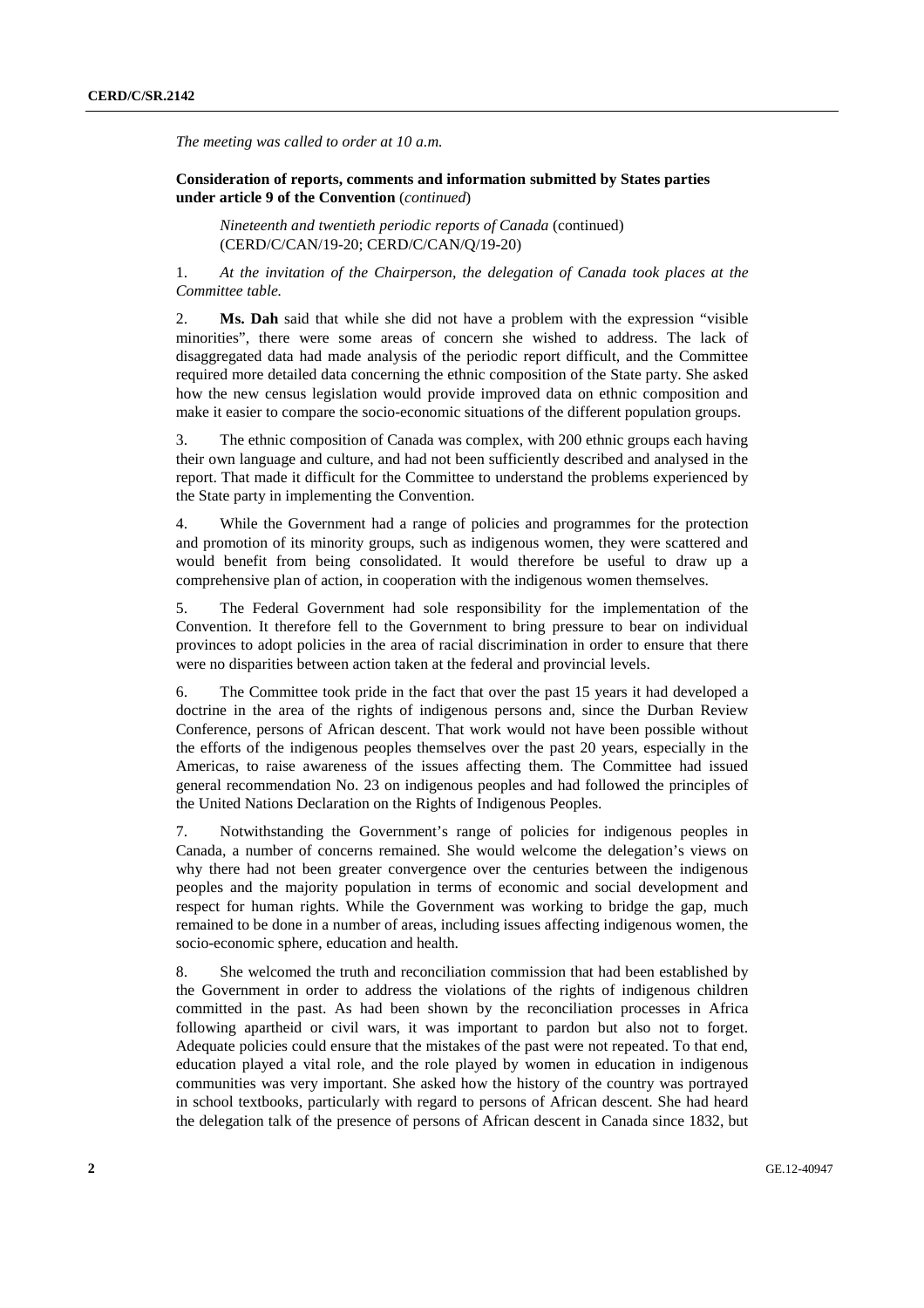*The meeting was called to order at 10 a.m.* 

 **Consideration of reports, comments and information submitted by States parties under article 9 of the Convention** (*continued*)

*Nineteenth and twentieth periodic reports of Canada* (continued) (CERD/C/CAN/19-20; CERD/C/CAN/Q/19-20)

1. *At the invitation of the Chairperson, the delegation of Canada took places at the Committee table.* 

2. **Ms. Dah** said that while she did not have a problem with the expression "visible minorities", there were some areas of concern she wished to address. The lack of disaggregated data had made analysis of the periodic report difficult, and the Committee required more detailed data concerning the ethnic composition of the State party. She asked how the new census legislation would provide improved data on ethnic composition and make it easier to compare the socio-economic situations of the different population groups.

3. The ethnic composition of Canada was complex, with 200 ethnic groups each having their own language and culture, and had not been sufficiently described and analysed in the report. That made it difficult for the Committee to understand the problems experienced by the State party in implementing the Convention.

4. While the Government had a range of policies and programmes for the protection and promotion of its minority groups, such as indigenous women, they were scattered and would benefit from being consolidated. It would therefore be useful to draw up a comprehensive plan of action, in cooperation with the indigenous women themselves.

5. The Federal Government had sole responsibility for the implementation of the Convention. It therefore fell to the Government to bring pressure to bear on individual provinces to adopt policies in the area of racial discrimination in order to ensure that there were no disparities between action taken at the federal and provincial levels.

6. The Committee took pride in the fact that over the past 15 years it had developed a doctrine in the area of the rights of indigenous persons and, since the Durban Review Conference, persons of African descent. That work would not have been possible without the efforts of the indigenous peoples themselves over the past 20 years, especially in the Americas, to raise awareness of the issues affecting them. The Committee had issued general recommendation No. 23 on indigenous peoples and had followed the principles of the United Nations Declaration on the Rights of Indigenous Peoples.

7. Notwithstanding the Government's range of policies for indigenous peoples in Canada, a number of concerns remained. She would welcome the delegation's views on why there had not been greater convergence over the centuries between the indigenous peoples and the majority population in terms of economic and social development and respect for human rights. While the Government was working to bridge the gap, much remained to be done in a number of areas, including issues affecting indigenous women, the socio-economic sphere, education and health.

8. She welcomed the truth and reconciliation commission that had been established by the Government in order to address the violations of the rights of indigenous children committed in the past. As had been shown by the reconciliation processes in Africa following apartheid or civil wars, it was important to pardon but also not to forget. Adequate policies could ensure that the mistakes of the past were not repeated. To that end, education played a vital role, and the role played by women in education in indigenous communities was very important. She asked how the history of the country was portrayed in school textbooks, particularly with regard to persons of African descent. She had heard the delegation talk of the presence of persons of African descent in Canada since 1832, but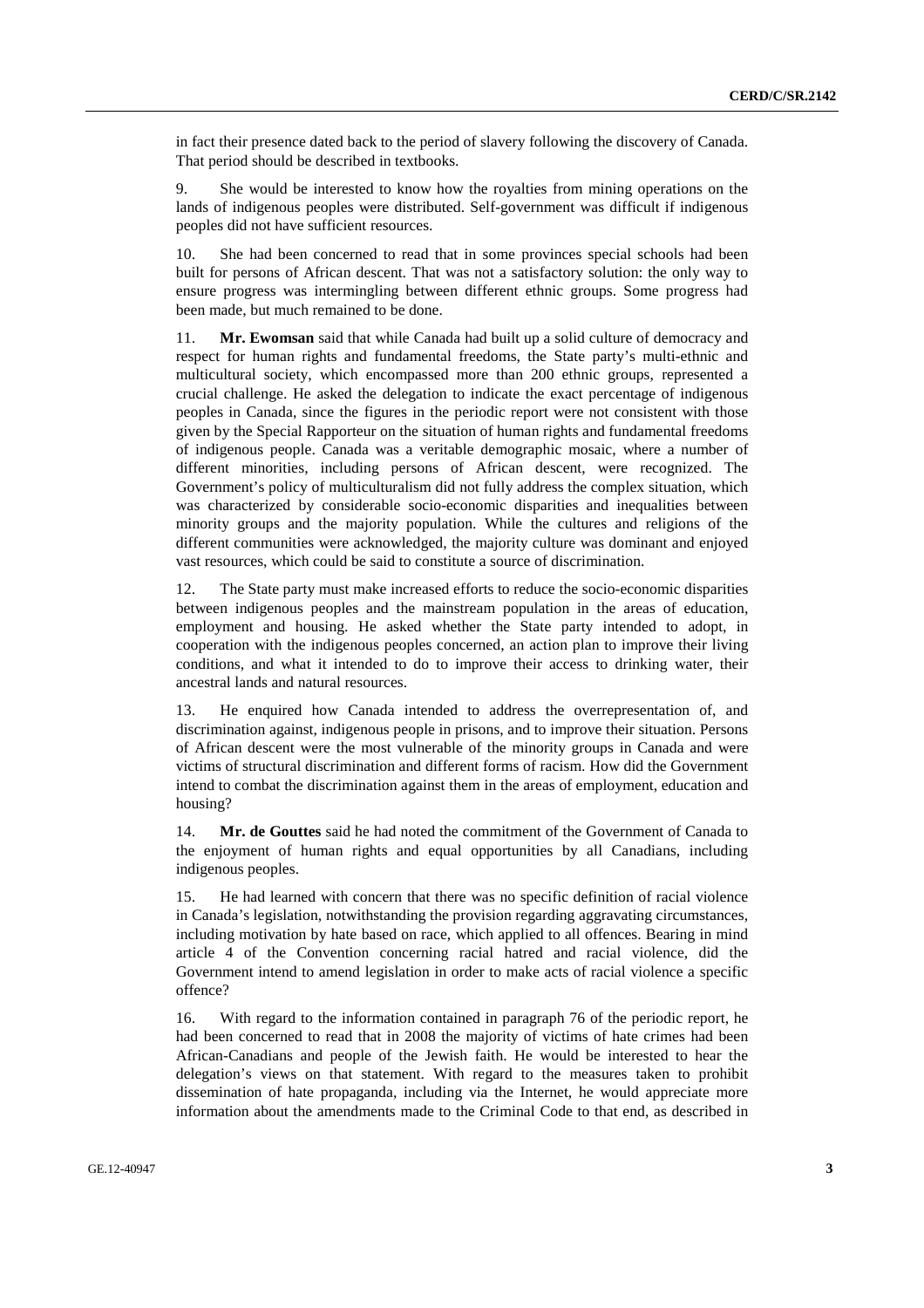in fact their presence dated back to the period of slavery following the discovery of Canada. That period should be described in textbooks.

9. She would be interested to know how the royalties from mining operations on the lands of indigenous peoples were distributed. Self-government was difficult if indigenous peoples did not have sufficient resources.

10. She had been concerned to read that in some provinces special schools had been built for persons of African descent. That was not a satisfactory solution: the only way to ensure progress was intermingling between different ethnic groups. Some progress had been made, but much remained to be done.

11. **Mr. Ewomsan** said that while Canada had built up a solid culture of democracy and respect for human rights and fundamental freedoms, the State party's multi-ethnic and multicultural society, which encompassed more than 200 ethnic groups, represented a crucial challenge. He asked the delegation to indicate the exact percentage of indigenous peoples in Canada, since the figures in the periodic report were not consistent with those given by the Special Rapporteur on the situation of human rights and fundamental freedoms of indigenous people. Canada was a veritable demographic mosaic, where a number of different minorities, including persons of African descent, were recognized. The Government's policy of multiculturalism did not fully address the complex situation, which was characterized by considerable socio-economic disparities and inequalities between minority groups and the majority population. While the cultures and religions of the different communities were acknowledged, the majority culture was dominant and enjoyed vast resources, which could be said to constitute a source of discrimination.

12. The State party must make increased efforts to reduce the socio-economic disparities between indigenous peoples and the mainstream population in the areas of education, employment and housing. He asked whether the State party intended to adopt, in cooperation with the indigenous peoples concerned, an action plan to improve their living conditions, and what it intended to do to improve their access to drinking water, their ancestral lands and natural resources.

13. He enquired how Canada intended to address the overrepresentation of, and discrimination against, indigenous people in prisons, and to improve their situation. Persons of African descent were the most vulnerable of the minority groups in Canada and were victims of structural discrimination and different forms of racism. How did the Government intend to combat the discrimination against them in the areas of employment, education and housing?

14. **Mr. de Gouttes** said he had noted the commitment of the Government of Canada to the enjoyment of human rights and equal opportunities by all Canadians, including indigenous peoples.

15. He had learned with concern that there was no specific definition of racial violence in Canada's legislation, notwithstanding the provision regarding aggravating circumstances, including motivation by hate based on race, which applied to all offences. Bearing in mind article 4 of the Convention concerning racial hatred and racial violence, did the Government intend to amend legislation in order to make acts of racial violence a specific offence?

16. With regard to the information contained in paragraph 76 of the periodic report, he had been concerned to read that in 2008 the majority of victims of hate crimes had been African-Canadians and people of the Jewish faith. He would be interested to hear the delegation's views on that statement. With regard to the measures taken to prohibit dissemination of hate propaganda, including via the Internet, he would appreciate more information about the amendments made to the Criminal Code to that end, as described in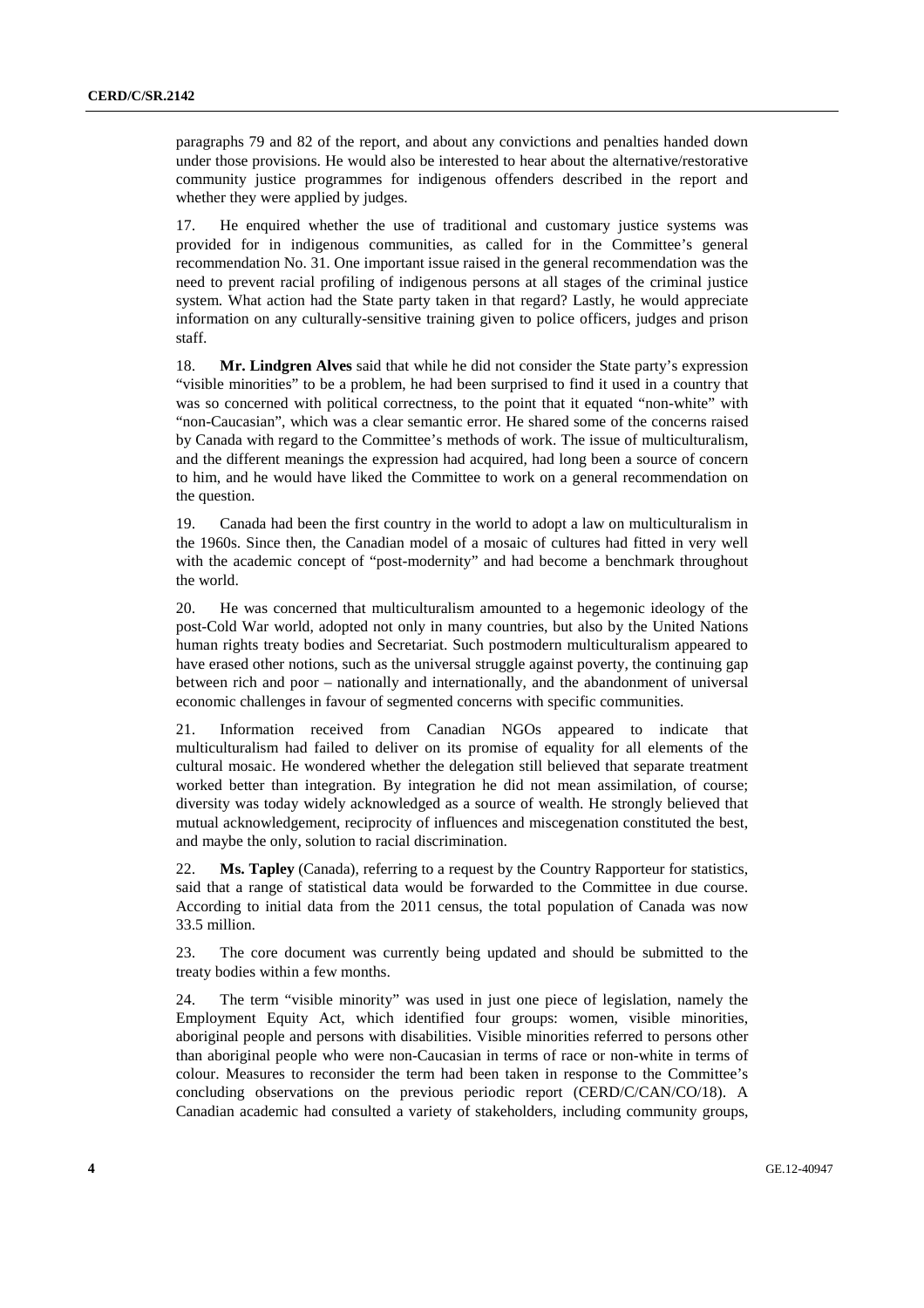paragraphs 79 and 82 of the report, and about any convictions and penalties handed down under those provisions. He would also be interested to hear about the alternative/restorative community justice programmes for indigenous offenders described in the report and whether they were applied by judges.

17. He enquired whether the use of traditional and customary justice systems was provided for in indigenous communities, as called for in the Committee's general recommendation No. 31. One important issue raised in the general recommendation was the need to prevent racial profiling of indigenous persons at all stages of the criminal justice system. What action had the State party taken in that regard? Lastly, he would appreciate information on any culturally-sensitive training given to police officers, judges and prison staff.

18. **Mr. Lindgren Alves** said that while he did not consider the State party's expression "visible minorities" to be a problem, he had been surprised to find it used in a country that was so concerned with political correctness, to the point that it equated "non-white" with "non-Caucasian", which was a clear semantic error. He shared some of the concerns raised by Canada with regard to the Committee's methods of work. The issue of multiculturalism, and the different meanings the expression had acquired, had long been a source of concern to him, and he would have liked the Committee to work on a general recommendation on the question.

19. Canada had been the first country in the world to adopt a law on multiculturalism in the 1960s. Since then, the Canadian model of a mosaic of cultures had fitted in very well with the academic concept of "post-modernity" and had become a benchmark throughout the world.

20. He was concerned that multiculturalism amounted to a hegemonic ideology of the post-Cold War world, adopted not only in many countries, but also by the United Nations human rights treaty bodies and Secretariat. Such postmodern multiculturalism appeared to have erased other notions, such as the universal struggle against poverty, the continuing gap between rich and poor – nationally and internationally, and the abandonment of universal economic challenges in favour of segmented concerns with specific communities.

21. Information received from Canadian NGOs appeared to indicate that multiculturalism had failed to deliver on its promise of equality for all elements of the cultural mosaic. He wondered whether the delegation still believed that separate treatment worked better than integration. By integration he did not mean assimilation, of course; diversity was today widely acknowledged as a source of wealth. He strongly believed that mutual acknowledgement, reciprocity of influences and miscegenation constituted the best, and maybe the only, solution to racial discrimination.

22. **Ms. Tapley** (Canada), referring to a request by the Country Rapporteur for statistics, said that a range of statistical data would be forwarded to the Committee in due course. According to initial data from the 2011 census, the total population of Canada was now 33.5 million.

23. The core document was currently being updated and should be submitted to the treaty bodies within a few months.

24. The term "visible minority" was used in just one piece of legislation, namely the Employment Equity Act, which identified four groups: women, visible minorities, aboriginal people and persons with disabilities. Visible minorities referred to persons other than aboriginal people who were non-Caucasian in terms of race or non-white in terms of colour. Measures to reconsider the term had been taken in response to the Committee's concluding observations on the previous periodic report (CERD/C/CAN/CO/18). A Canadian academic had consulted a variety of stakeholders, including community groups,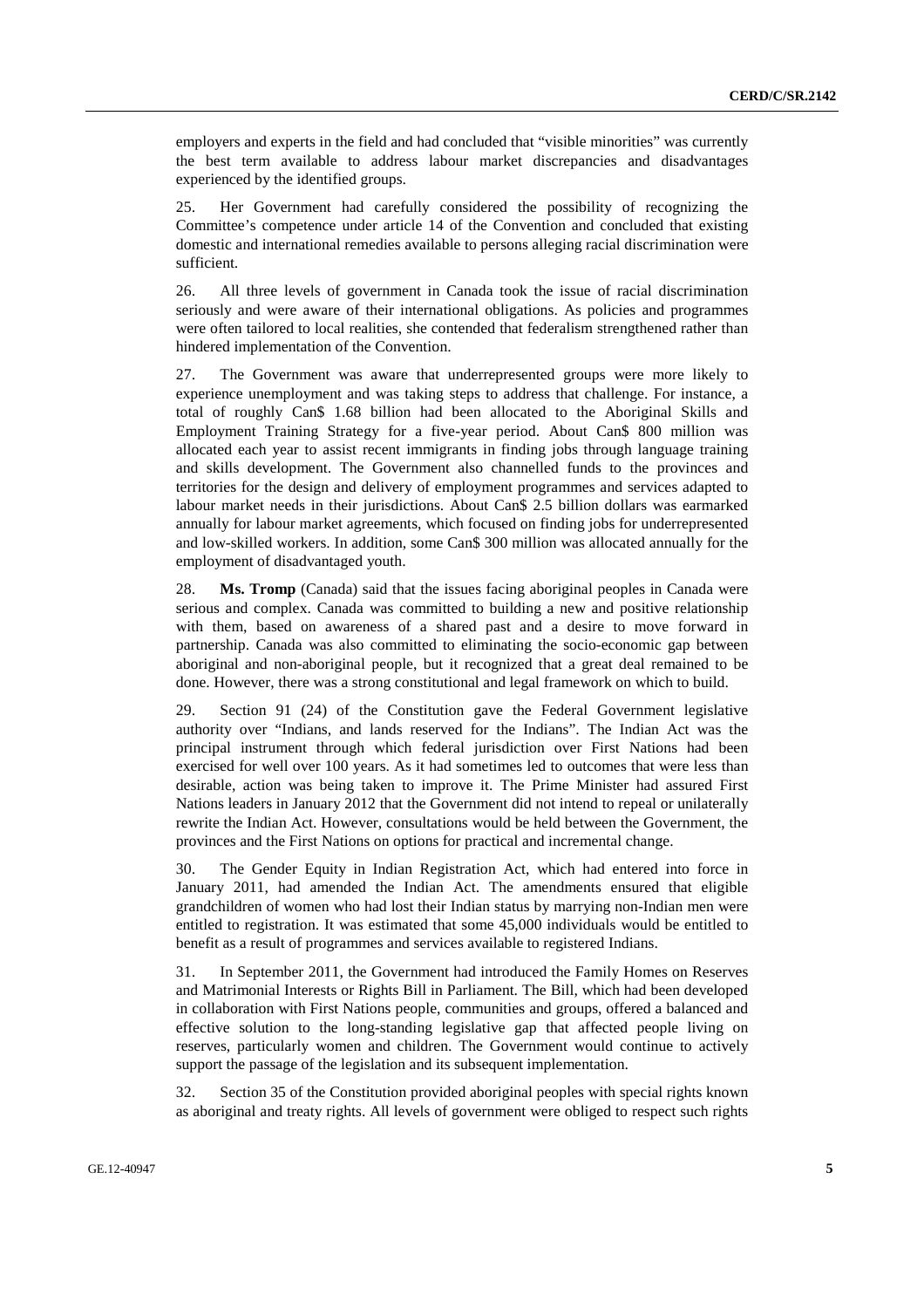employers and experts in the field and had concluded that "visible minorities" was currently the best term available to address labour market discrepancies and disadvantages experienced by the identified groups.

25. Her Government had carefully considered the possibility of recognizing the Committee's competence under article 14 of the Convention and concluded that existing domestic and international remedies available to persons alleging racial discrimination were sufficient.

26. All three levels of government in Canada took the issue of racial discrimination seriously and were aware of their international obligations. As policies and programmes were often tailored to local realities, she contended that federalism strengthened rather than hindered implementation of the Convention.

27. The Government was aware that underrepresented groups were more likely to experience unemployment and was taking steps to address that challenge. For instance, a total of roughly Can\$ 1.68 billion had been allocated to the Aboriginal Skills and Employment Training Strategy for a five-year period. About Can\$ 800 million was allocated each year to assist recent immigrants in finding jobs through language training and skills development. The Government also channelled funds to the provinces and territories for the design and delivery of employment programmes and services adapted to labour market needs in their jurisdictions. About Can\$ 2.5 billion dollars was earmarked annually for labour market agreements, which focused on finding jobs for underrepresented and low-skilled workers. In addition, some Can\$ 300 million was allocated annually for the employment of disadvantaged youth.

28. **Ms. Tromp** (Canada) said that the issues facing aboriginal peoples in Canada were serious and complex. Canada was committed to building a new and positive relationship with them, based on awareness of a shared past and a desire to move forward in partnership. Canada was also committed to eliminating the socio-economic gap between aboriginal and non-aboriginal people, but it recognized that a great deal remained to be done. However, there was a strong constitutional and legal framework on which to build.

29. Section 91 (24) of the Constitution gave the Federal Government legislative authority over "Indians, and lands reserved for the Indians". The Indian Act was the principal instrument through which federal jurisdiction over First Nations had been exercised for well over 100 years. As it had sometimes led to outcomes that were less than desirable, action was being taken to improve it. The Prime Minister had assured First Nations leaders in January 2012 that the Government did not intend to repeal or unilaterally rewrite the Indian Act. However, consultations would be held between the Government, the provinces and the First Nations on options for practical and incremental change.

30. The Gender Equity in Indian Registration Act, which had entered into force in January 2011, had amended the Indian Act. The amendments ensured that eligible grandchildren of women who had lost their Indian status by marrying non-Indian men were entitled to registration. It was estimated that some 45,000 individuals would be entitled to benefit as a result of programmes and services available to registered Indians.

31. In September 2011, the Government had introduced the Family Homes on Reserves and Matrimonial Interests or Rights Bill in Parliament. The Bill, which had been developed in collaboration with First Nations people, communities and groups, offered a balanced and effective solution to the long-standing legislative gap that affected people living on reserves, particularly women and children. The Government would continue to actively support the passage of the legislation and its subsequent implementation.

32. Section 35 of the Constitution provided aboriginal peoples with special rights known as aboriginal and treaty rights. All levels of government were obliged to respect such rights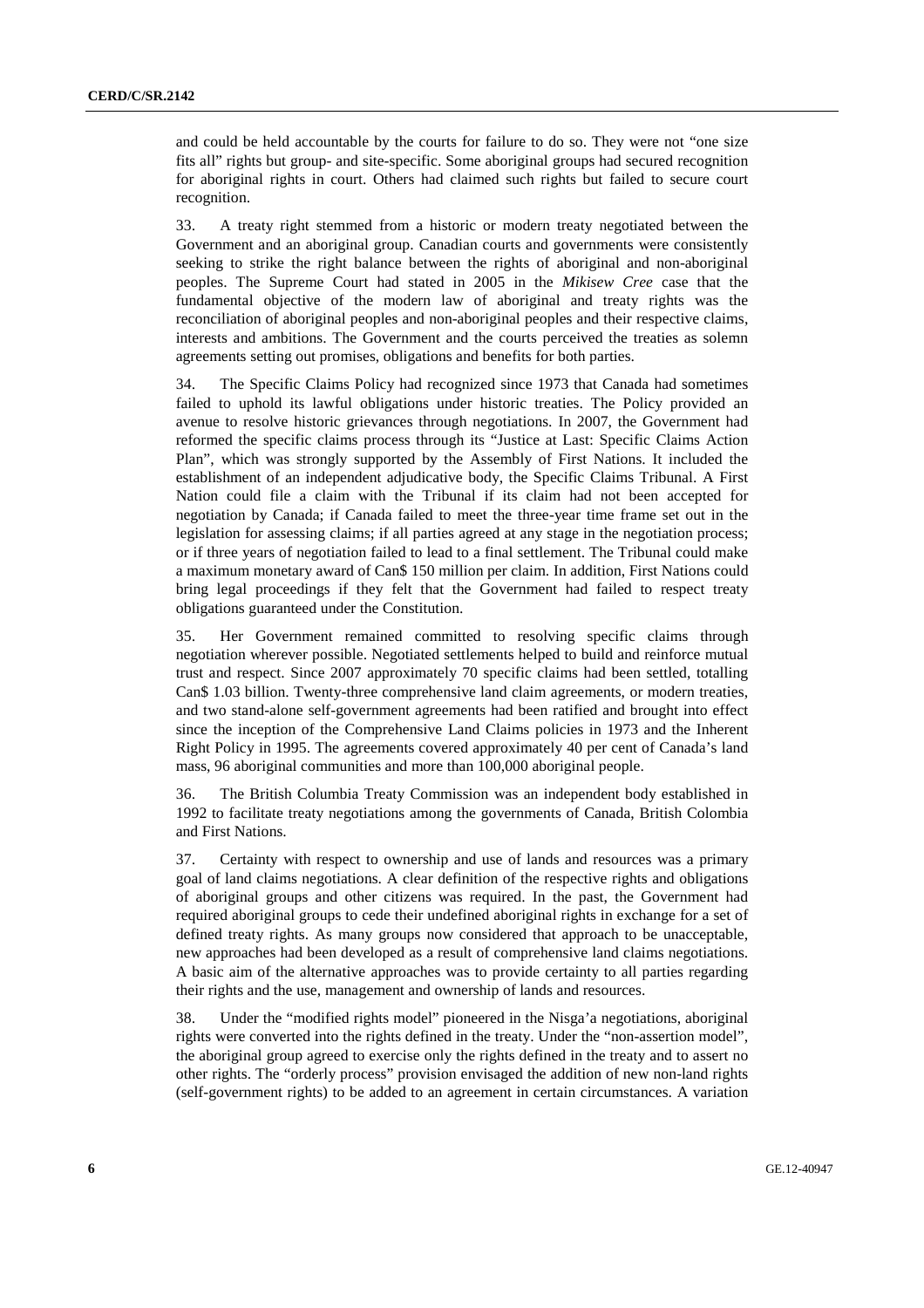and could be held accountable by the courts for failure to do so. They were not "one size fits all" rights but group- and site-specific. Some aboriginal groups had secured recognition for aboriginal rights in court. Others had claimed such rights but failed to secure court recognition.

33. A treaty right stemmed from a historic or modern treaty negotiated between the Government and an aboriginal group. Canadian courts and governments were consistently seeking to strike the right balance between the rights of aboriginal and non-aboriginal peoples. The Supreme Court had stated in 2005 in the *Mikisew Cree* case that the fundamental objective of the modern law of aboriginal and treaty rights was the reconciliation of aboriginal peoples and non-aboriginal peoples and their respective claims, interests and ambitions. The Government and the courts perceived the treaties as solemn agreements setting out promises, obligations and benefits for both parties.

34. The Specific Claims Policy had recognized since 1973 that Canada had sometimes failed to uphold its lawful obligations under historic treaties. The Policy provided an avenue to resolve historic grievances through negotiations. In 2007, the Government had reformed the specific claims process through its "Justice at Last: Specific Claims Action Plan", which was strongly supported by the Assembly of First Nations. It included the establishment of an independent adjudicative body, the Specific Claims Tribunal. A First Nation could file a claim with the Tribunal if its claim had not been accepted for negotiation by Canada; if Canada failed to meet the three-year time frame set out in the legislation for assessing claims; if all parties agreed at any stage in the negotiation process; or if three years of negotiation failed to lead to a final settlement. The Tribunal could make a maximum monetary award of Can\$ 150 million per claim. In addition, First Nations could bring legal proceedings if they felt that the Government had failed to respect treaty obligations guaranteed under the Constitution.

35. Her Government remained committed to resolving specific claims through negotiation wherever possible. Negotiated settlements helped to build and reinforce mutual trust and respect. Since 2007 approximately 70 specific claims had been settled, totalling Can\$ 1.03 billion. Twenty-three comprehensive land claim agreements, or modern treaties, and two stand-alone self-government agreements had been ratified and brought into effect since the inception of the Comprehensive Land Claims policies in 1973 and the Inherent Right Policy in 1995. The agreements covered approximately 40 per cent of Canada's land mass, 96 aboriginal communities and more than 100,000 aboriginal people.

36. The British Columbia Treaty Commission was an independent body established in 1992 to facilitate treaty negotiations among the governments of Canada, British Colombia and First Nations.

37. Certainty with respect to ownership and use of lands and resources was a primary goal of land claims negotiations. A clear definition of the respective rights and obligations of aboriginal groups and other citizens was required. In the past, the Government had required aboriginal groups to cede their undefined aboriginal rights in exchange for a set of defined treaty rights. As many groups now considered that approach to be unacceptable, new approaches had been developed as a result of comprehensive land claims negotiations. A basic aim of the alternative approaches was to provide certainty to all parties regarding their rights and the use, management and ownership of lands and resources.

38. Under the "modified rights model" pioneered in the Nisga'a negotiations, aboriginal rights were converted into the rights defined in the treaty. Under the "non-assertion model", the aboriginal group agreed to exercise only the rights defined in the treaty and to assert no other rights. The "orderly process" provision envisaged the addition of new non-land rights (self-government rights) to be added to an agreement in certain circumstances. A variation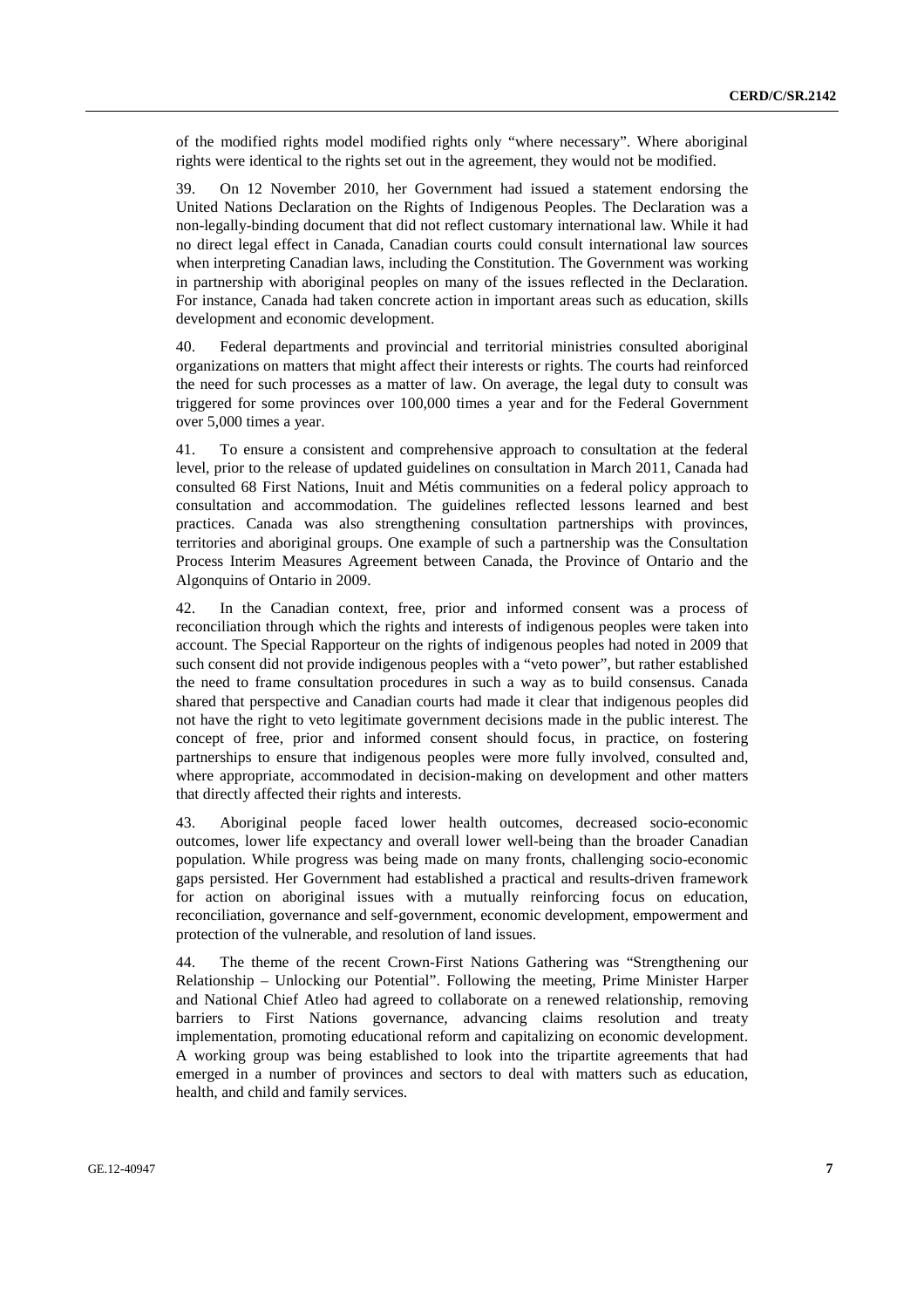of the modified rights model modified rights only "where necessary". Where aboriginal rights were identical to the rights set out in the agreement, they would not be modified.

39. On 12 November 2010, her Government had issued a statement endorsing the United Nations Declaration on the Rights of Indigenous Peoples. The Declaration was a non-legally-binding document that did not reflect customary international law. While it had no direct legal effect in Canada, Canadian courts could consult international law sources when interpreting Canadian laws, including the Constitution. The Government was working in partnership with aboriginal peoples on many of the issues reflected in the Declaration. For instance, Canada had taken concrete action in important areas such as education, skills development and economic development.

40. Federal departments and provincial and territorial ministries consulted aboriginal organizations on matters that might affect their interests or rights. The courts had reinforced the need for such processes as a matter of law. On average, the legal duty to consult was triggered for some provinces over 100,000 times a year and for the Federal Government over 5,000 times a year.

41. To ensure a consistent and comprehensive approach to consultation at the federal level, prior to the release of updated guidelines on consultation in March 2011, Canada had consulted 68 First Nations, Inuit and Métis communities on a federal policy approach to consultation and accommodation. The guidelines reflected lessons learned and best practices. Canada was also strengthening consultation partnerships with provinces, territories and aboriginal groups. One example of such a partnership was the Consultation Process Interim Measures Agreement between Canada, the Province of Ontario and the Algonquins of Ontario in 2009.

42. In the Canadian context, free, prior and informed consent was a process of reconciliation through which the rights and interests of indigenous peoples were taken into account. The Special Rapporteur on the rights of indigenous peoples had noted in 2009 that such consent did not provide indigenous peoples with a "veto power", but rather established the need to frame consultation procedures in such a way as to build consensus. Canada shared that perspective and Canadian courts had made it clear that indigenous peoples did not have the right to veto legitimate government decisions made in the public interest. The concept of free, prior and informed consent should focus, in practice, on fostering partnerships to ensure that indigenous peoples were more fully involved, consulted and, where appropriate, accommodated in decision-making on development and other matters that directly affected their rights and interests.

43. Aboriginal people faced lower health outcomes, decreased socio-economic outcomes, lower life expectancy and overall lower well-being than the broader Canadian population. While progress was being made on many fronts, challenging socio-economic gaps persisted. Her Government had established a practical and results-driven framework for action on aboriginal issues with a mutually reinforcing focus on education, reconciliation, governance and self-government, economic development, empowerment and protection of the vulnerable, and resolution of land issues.

44. The theme of the recent Crown-First Nations Gathering was "Strengthening our Relationship – Unlocking our Potential". Following the meeting, Prime Minister Harper and National Chief Atleo had agreed to collaborate on a renewed relationship, removing barriers to First Nations governance, advancing claims resolution and treaty implementation, promoting educational reform and capitalizing on economic development. A working group was being established to look into the tripartite agreements that had emerged in a number of provinces and sectors to deal with matters such as education, health, and child and family services.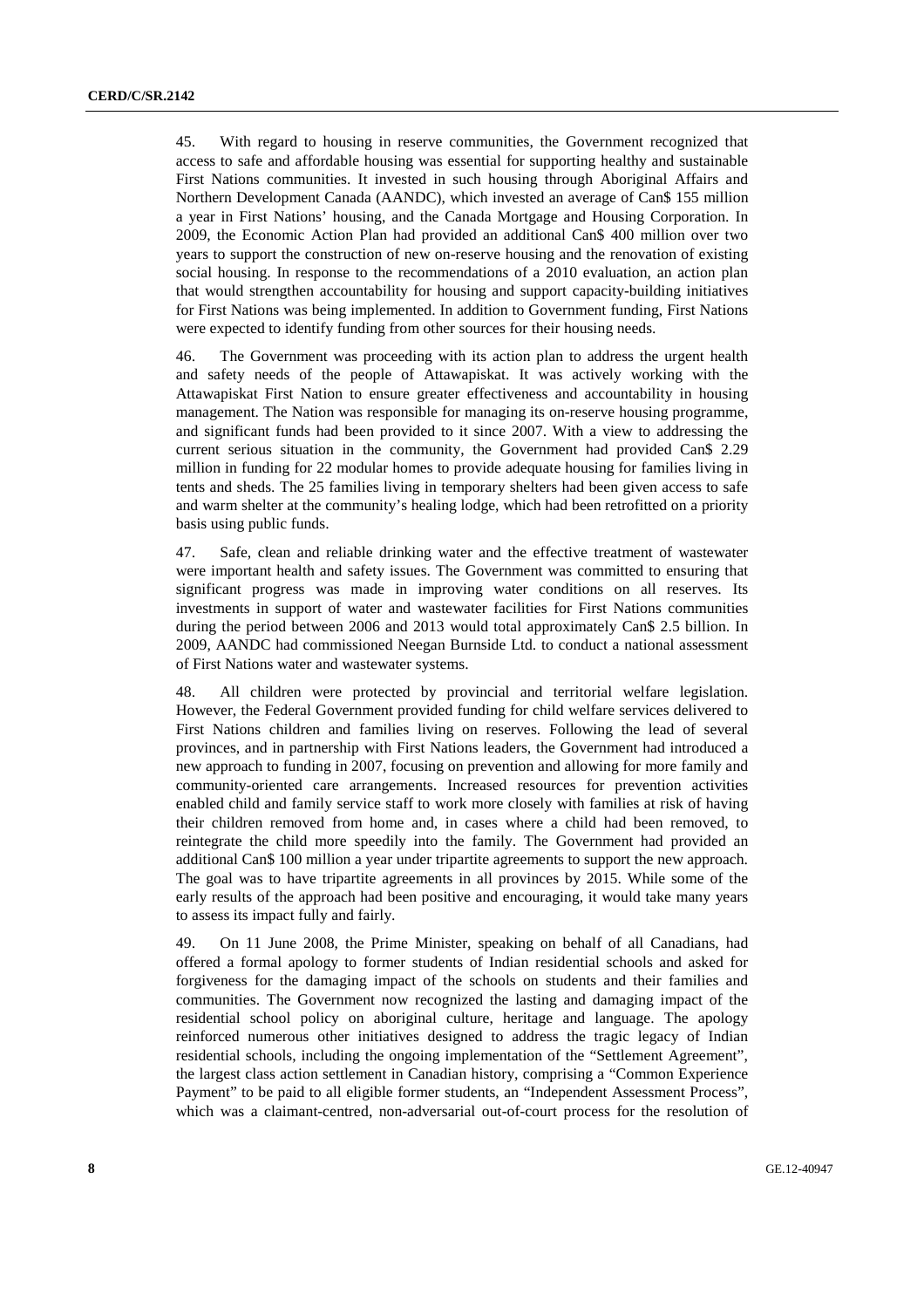45. With regard to housing in reserve communities, the Government recognized that access to safe and affordable housing was essential for supporting healthy and sustainable First Nations communities. It invested in such housing through Aboriginal Affairs and Northern Development Canada (AANDC), which invested an average of Can\$ 155 million a year in First Nations' housing, and the Canada Mortgage and Housing Corporation. In 2009, the Economic Action Plan had provided an additional Can\$ 400 million over two years to support the construction of new on-reserve housing and the renovation of existing social housing. In response to the recommendations of a 2010 evaluation, an action plan that would strengthen accountability for housing and support capacity-building initiatives for First Nations was being implemented. In addition to Government funding, First Nations were expected to identify funding from other sources for their housing needs.

46. The Government was proceeding with its action plan to address the urgent health and safety needs of the people of Attawapiskat. It was actively working with the Attawapiskat First Nation to ensure greater effectiveness and accountability in housing management. The Nation was responsible for managing its on-reserve housing programme, and significant funds had been provided to it since 2007. With a view to addressing the current serious situation in the community, the Government had provided Can\$ 2.29 million in funding for 22 modular homes to provide adequate housing for families living in tents and sheds. The 25 families living in temporary shelters had been given access to safe and warm shelter at the community's healing lodge, which had been retrofitted on a priority basis using public funds.

47. Safe, clean and reliable drinking water and the effective treatment of wastewater were important health and safety issues. The Government was committed to ensuring that significant progress was made in improving water conditions on all reserves. Its investments in support of water and wastewater facilities for First Nations communities during the period between 2006 and 2013 would total approximately Can\$ 2.5 billion. In 2009, AANDC had commissioned Neegan Burnside Ltd. to conduct a national assessment of First Nations water and wastewater systems.

48. All children were protected by provincial and territorial welfare legislation. However, the Federal Government provided funding for child welfare services delivered to First Nations children and families living on reserves. Following the lead of several provinces, and in partnership with First Nations leaders, the Government had introduced a new approach to funding in 2007, focusing on prevention and allowing for more family and community-oriented care arrangements. Increased resources for prevention activities enabled child and family service staff to work more closely with families at risk of having their children removed from home and, in cases where a child had been removed, to reintegrate the child more speedily into the family. The Government had provided an additional Can\$ 100 million a year under tripartite agreements to support the new approach. The goal was to have tripartite agreements in all provinces by 2015. While some of the early results of the approach had been positive and encouraging, it would take many years to assess its impact fully and fairly.

49. On 11 June 2008, the Prime Minister, speaking on behalf of all Canadians, had offered a formal apology to former students of Indian residential schools and asked for forgiveness for the damaging impact of the schools on students and their families and communities. The Government now recognized the lasting and damaging impact of the residential school policy on aboriginal culture, heritage and language. The apology reinforced numerous other initiatives designed to address the tragic legacy of Indian residential schools, including the ongoing implementation of the "Settlement Agreement", the largest class action settlement in Canadian history, comprising a "Common Experience Payment" to be paid to all eligible former students, an "Independent Assessment Process", which was a claimant-centred, non-adversarial out-of-court process for the resolution of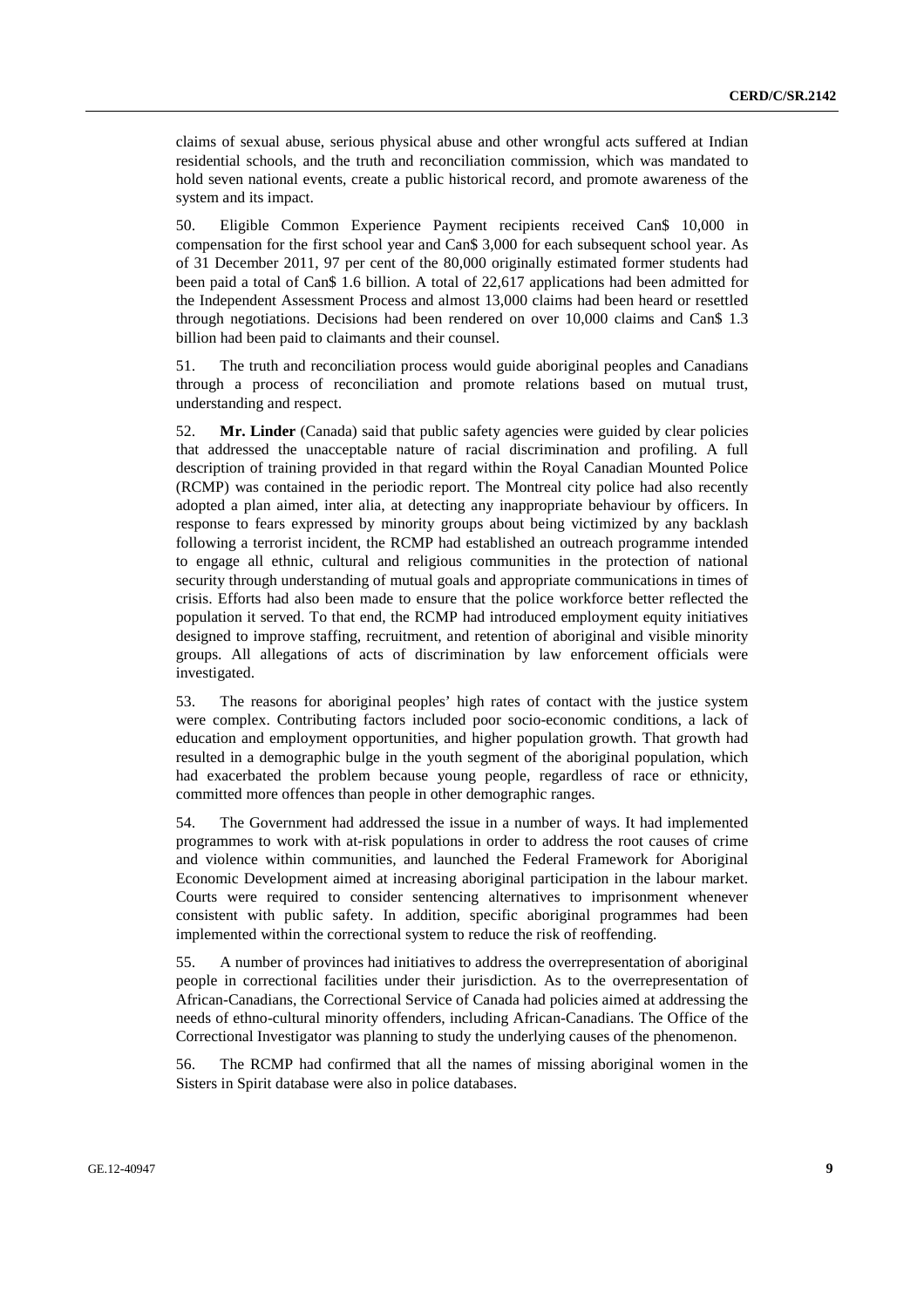claims of sexual abuse, serious physical abuse and other wrongful acts suffered at Indian residential schools, and the truth and reconciliation commission, which was mandated to hold seven national events, create a public historical record, and promote awareness of the system and its impact.

50. Eligible Common Experience Payment recipients received Can\$ 10,000 in compensation for the first school year and Can\$ 3,000 for each subsequent school year. As of 31 December 2011, 97 per cent of the 80,000 originally estimated former students had been paid a total of Can\$ 1.6 billion. A total of 22,617 applications had been admitted for the Independent Assessment Process and almost 13,000 claims had been heard or resettled through negotiations. Decisions had been rendered on over 10,000 claims and Can\$ 1.3 billion had been paid to claimants and their counsel.

51. The truth and reconciliation process would guide aboriginal peoples and Canadians through a process of reconciliation and promote relations based on mutual trust, understanding and respect.

52. **Mr. Linder** (Canada) said that public safety agencies were guided by clear policies that addressed the unacceptable nature of racial discrimination and profiling. A full description of training provided in that regard within the Royal Canadian Mounted Police (RCMP) was contained in the periodic report. The Montreal city police had also recently adopted a plan aimed, inter alia, at detecting any inappropriate behaviour by officers. In response to fears expressed by minority groups about being victimized by any backlash following a terrorist incident, the RCMP had established an outreach programme intended to engage all ethnic, cultural and religious communities in the protection of national security through understanding of mutual goals and appropriate communications in times of crisis. Efforts had also been made to ensure that the police workforce better reflected the population it served. To that end, the RCMP had introduced employment equity initiatives designed to improve staffing, recruitment, and retention of aboriginal and visible minority groups. All allegations of acts of discrimination by law enforcement officials were investigated.

53. The reasons for aboriginal peoples' high rates of contact with the justice system were complex. Contributing factors included poor socio-economic conditions, a lack of education and employment opportunities, and higher population growth. That growth had resulted in a demographic bulge in the youth segment of the aboriginal population, which had exacerbated the problem because young people, regardless of race or ethnicity, committed more offences than people in other demographic ranges.

54. The Government had addressed the issue in a number of ways. It had implemented programmes to work with at-risk populations in order to address the root causes of crime and violence within communities, and launched the Federal Framework for Aboriginal Economic Development aimed at increasing aboriginal participation in the labour market. Courts were required to consider sentencing alternatives to imprisonment whenever consistent with public safety. In addition, specific aboriginal programmes had been implemented within the correctional system to reduce the risk of reoffending.

55. A number of provinces had initiatives to address the overrepresentation of aboriginal people in correctional facilities under their jurisdiction. As to the overrepresentation of African-Canadians, the Correctional Service of Canada had policies aimed at addressing the needs of ethno-cultural minority offenders, including African-Canadians. The Office of the Correctional Investigator was planning to study the underlying causes of the phenomenon.

56. The RCMP had confirmed that all the names of missing aboriginal women in the Sisters in Spirit database were also in police databases.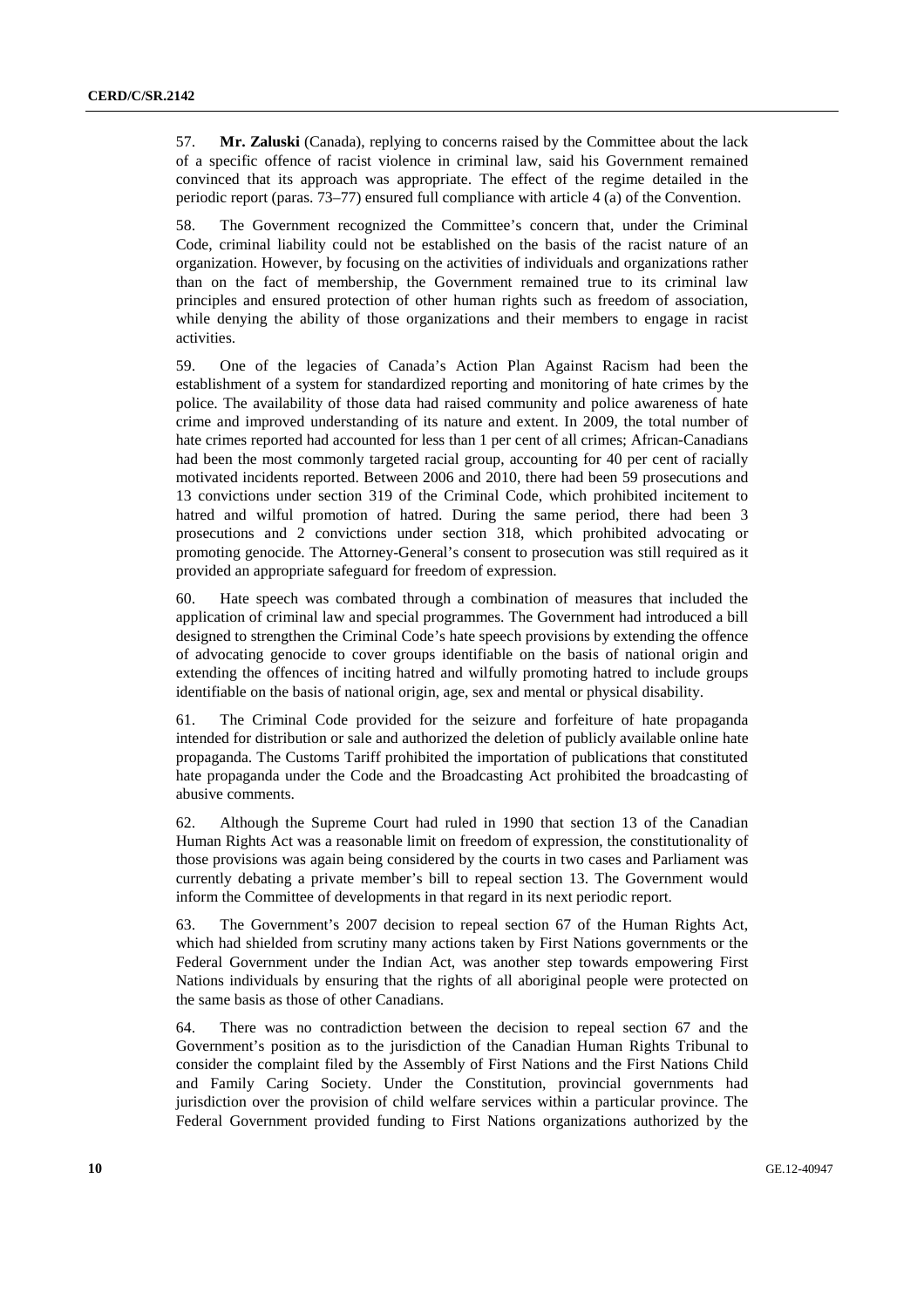57. **Mr. Zaluski** (Canada), replying to concerns raised by the Committee about the lack of a specific offence of racist violence in criminal law, said his Government remained convinced that its approach was appropriate. The effect of the regime detailed in the periodic report (paras. 73–77) ensured full compliance with article 4 (a) of the Convention.

58. The Government recognized the Committee's concern that, under the Criminal Code, criminal liability could not be established on the basis of the racist nature of an organization. However, by focusing on the activities of individuals and organizations rather than on the fact of membership, the Government remained true to its criminal law principles and ensured protection of other human rights such as freedom of association, while denying the ability of those organizations and their members to engage in racist activities.

59. One of the legacies of Canada's Action Plan Against Racism had been the establishment of a system for standardized reporting and monitoring of hate crimes by the police. The availability of those data had raised community and police awareness of hate crime and improved understanding of its nature and extent. In 2009, the total number of hate crimes reported had accounted for less than 1 per cent of all crimes; African-Canadians had been the most commonly targeted racial group, accounting for 40 per cent of racially motivated incidents reported. Between 2006 and 2010, there had been 59 prosecutions and 13 convictions under section 319 of the Criminal Code, which prohibited incitement to hatred and wilful promotion of hatred. During the same period, there had been 3 prosecutions and 2 convictions under section 318, which prohibited advocating or promoting genocide. The Attorney-General's consent to prosecution was still required as it provided an appropriate safeguard for freedom of expression.

60. Hate speech was combated through a combination of measures that included the application of criminal law and special programmes. The Government had introduced a bill designed to strengthen the Criminal Code's hate speech provisions by extending the offence of advocating genocide to cover groups identifiable on the basis of national origin and extending the offences of inciting hatred and wilfully promoting hatred to include groups identifiable on the basis of national origin, age, sex and mental or physical disability.

61. The Criminal Code provided for the seizure and forfeiture of hate propaganda intended for distribution or sale and authorized the deletion of publicly available online hate propaganda. The Customs Tariff prohibited the importation of publications that constituted hate propaganda under the Code and the Broadcasting Act prohibited the broadcasting of abusive comments.

62. Although the Supreme Court had ruled in 1990 that section 13 of the Canadian Human Rights Act was a reasonable limit on freedom of expression, the constitutionality of those provisions was again being considered by the courts in two cases and Parliament was currently debating a private member's bill to repeal section 13. The Government would inform the Committee of developments in that regard in its next periodic report.

63. The Government's 2007 decision to repeal section 67 of the Human Rights Act, which had shielded from scrutiny many actions taken by First Nations governments or the Federal Government under the Indian Act, was another step towards empowering First Nations individuals by ensuring that the rights of all aboriginal people were protected on the same basis as those of other Canadians.

64. There was no contradiction between the decision to repeal section 67 and the Government's position as to the jurisdiction of the Canadian Human Rights Tribunal to consider the complaint filed by the Assembly of First Nations and the First Nations Child and Family Caring Society. Under the Constitution, provincial governments had jurisdiction over the provision of child welfare services within a particular province. The Federal Government provided funding to First Nations organizations authorized by the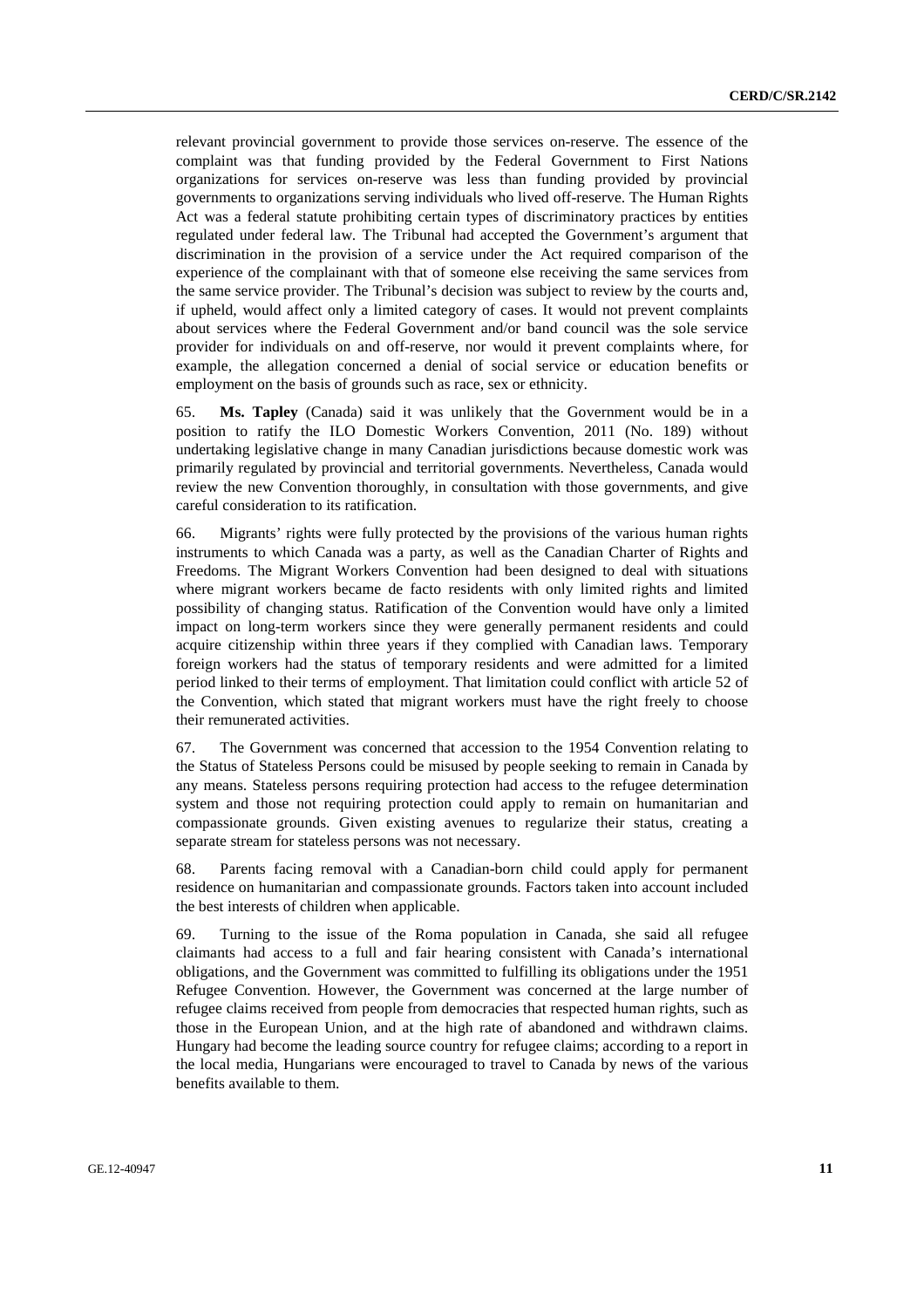relevant provincial government to provide those services on-reserve. The essence of the complaint was that funding provided by the Federal Government to First Nations organizations for services on-reserve was less than funding provided by provincial governments to organizations serving individuals who lived off-reserve. The Human Rights Act was a federal statute prohibiting certain types of discriminatory practices by entities regulated under federal law. The Tribunal had accepted the Government's argument that discrimination in the provision of a service under the Act required comparison of the experience of the complainant with that of someone else receiving the same services from the same service provider. The Tribunal's decision was subject to review by the courts and, if upheld, would affect only a limited category of cases. It would not prevent complaints about services where the Federal Government and/or band council was the sole service provider for individuals on and off-reserve, nor would it prevent complaints where, for example, the allegation concerned a denial of social service or education benefits or employment on the basis of grounds such as race, sex or ethnicity.

65. **Ms. Tapley** (Canada) said it was unlikely that the Government would be in a position to ratify the ILO Domestic Workers Convention, 2011 (No. 189) without undertaking legislative change in many Canadian jurisdictions because domestic work was primarily regulated by provincial and territorial governments. Nevertheless, Canada would review the new Convention thoroughly, in consultation with those governments, and give careful consideration to its ratification.

66. Migrants' rights were fully protected by the provisions of the various human rights instruments to which Canada was a party, as well as the Canadian Charter of Rights and Freedoms. The Migrant Workers Convention had been designed to deal with situations where migrant workers became de facto residents with only limited rights and limited possibility of changing status. Ratification of the Convention would have only a limited impact on long-term workers since they were generally permanent residents and could acquire citizenship within three years if they complied with Canadian laws. Temporary foreign workers had the status of temporary residents and were admitted for a limited period linked to their terms of employment. That limitation could conflict with article 52 of the Convention, which stated that migrant workers must have the right freely to choose their remunerated activities.

67. The Government was concerned that accession to the 1954 Convention relating to the Status of Stateless Persons could be misused by people seeking to remain in Canada by any means. Stateless persons requiring protection had access to the refugee determination system and those not requiring protection could apply to remain on humanitarian and compassionate grounds. Given existing avenues to regularize their status, creating a separate stream for stateless persons was not necessary.

68. Parents facing removal with a Canadian-born child could apply for permanent residence on humanitarian and compassionate grounds. Factors taken into account included the best interests of children when applicable.

69. Turning to the issue of the Roma population in Canada, she said all refugee claimants had access to a full and fair hearing consistent with Canada's international obligations, and the Government was committed to fulfilling its obligations under the 1951 Refugee Convention. However, the Government was concerned at the large number of refugee claims received from people from democracies that respected human rights, such as those in the European Union, and at the high rate of abandoned and withdrawn claims. Hungary had become the leading source country for refugee claims; according to a report in the local media, Hungarians were encouraged to travel to Canada by news of the various benefits available to them.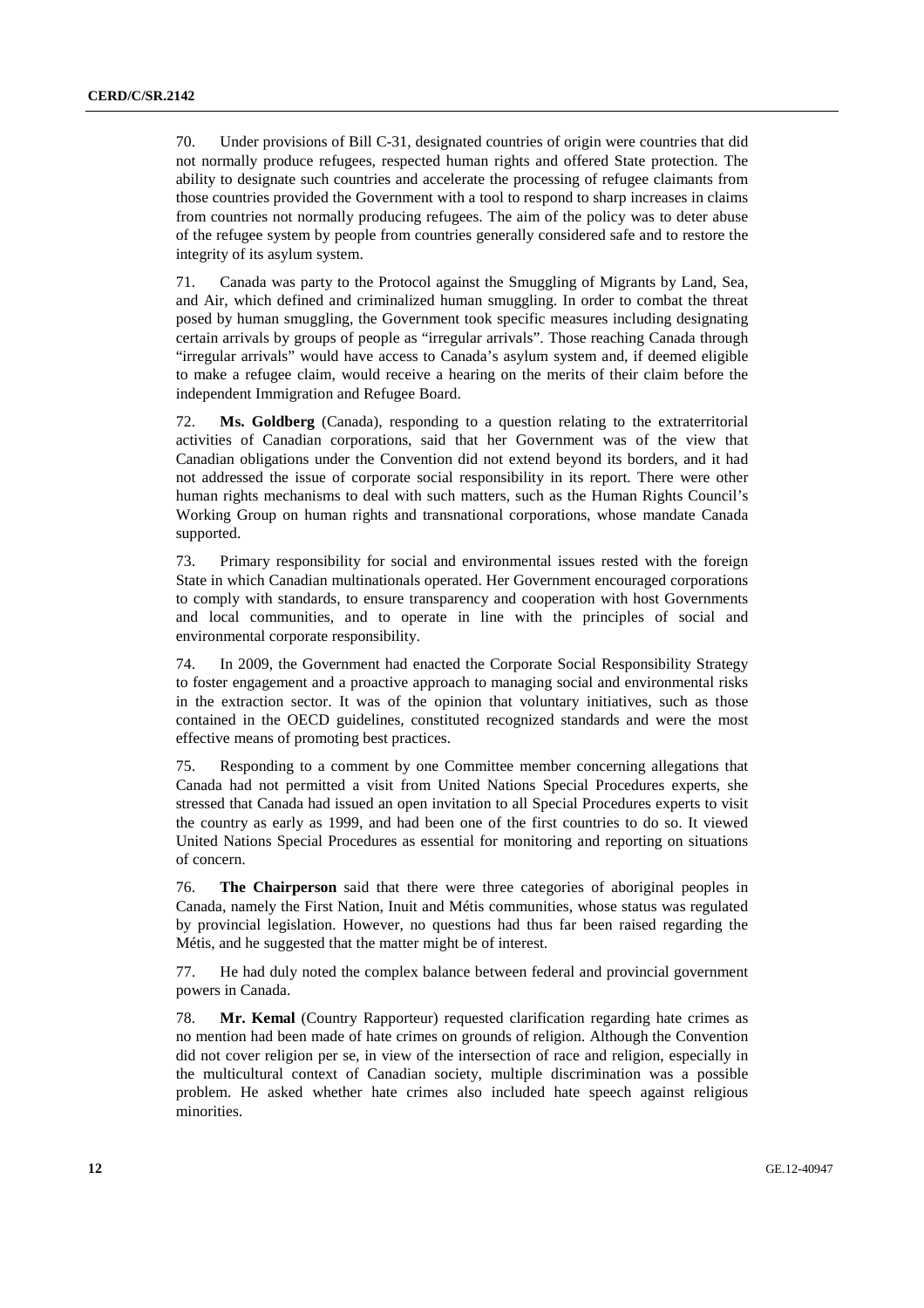70. Under provisions of Bill C-31, designated countries of origin were countries that did not normally produce refugees, respected human rights and offered State protection. The ability to designate such countries and accelerate the processing of refugee claimants from those countries provided the Government with a tool to respond to sharp increases in claims from countries not normally producing refugees. The aim of the policy was to deter abuse of the refugee system by people from countries generally considered safe and to restore the integrity of its asylum system.

71. Canada was party to the Protocol against the Smuggling of Migrants by Land, Sea, and Air, which defined and criminalized human smuggling. In order to combat the threat posed by human smuggling, the Government took specific measures including designating certain arrivals by groups of people as "irregular arrivals". Those reaching Canada through "irregular arrivals" would have access to Canada's asylum system and, if deemed eligible to make a refugee claim, would receive a hearing on the merits of their claim before the independent Immigration and Refugee Board.

72. **Ms. Goldberg** (Canada), responding to a question relating to the extraterritorial activities of Canadian corporations, said that her Government was of the view that Canadian obligations under the Convention did not extend beyond its borders, and it had not addressed the issue of corporate social responsibility in its report. There were other human rights mechanisms to deal with such matters, such as the Human Rights Council's Working Group on human rights and transnational corporations, whose mandate Canada supported.

73. Primary responsibility for social and environmental issues rested with the foreign State in which Canadian multinationals operated. Her Government encouraged corporations to comply with standards, to ensure transparency and cooperation with host Governments and local communities, and to operate in line with the principles of social and environmental corporate responsibility.

74. In 2009, the Government had enacted the Corporate Social Responsibility Strategy to foster engagement and a proactive approach to managing social and environmental risks in the extraction sector. It was of the opinion that voluntary initiatives, such as those contained in the OECD guidelines, constituted recognized standards and were the most effective means of promoting best practices.

75. Responding to a comment by one Committee member concerning allegations that Canada had not permitted a visit from United Nations Special Procedures experts, she stressed that Canada had issued an open invitation to all Special Procedures experts to visit the country as early as 1999, and had been one of the first countries to do so. It viewed United Nations Special Procedures as essential for monitoring and reporting on situations of concern.

76. **The Chairperson** said that there were three categories of aboriginal peoples in Canada, namely the First Nation, Inuit and Métis communities, whose status was regulated by provincial legislation. However, no questions had thus far been raised regarding the Métis, and he suggested that the matter might be of interest.

77. He had duly noted the complex balance between federal and provincial government powers in Canada.

78. **Mr. Kemal** (Country Rapporteur) requested clarification regarding hate crimes as no mention had been made of hate crimes on grounds of religion. Although the Convention did not cover religion per se, in view of the intersection of race and religion, especially in the multicultural context of Canadian society, multiple discrimination was a possible problem. He asked whether hate crimes also included hate speech against religious minorities.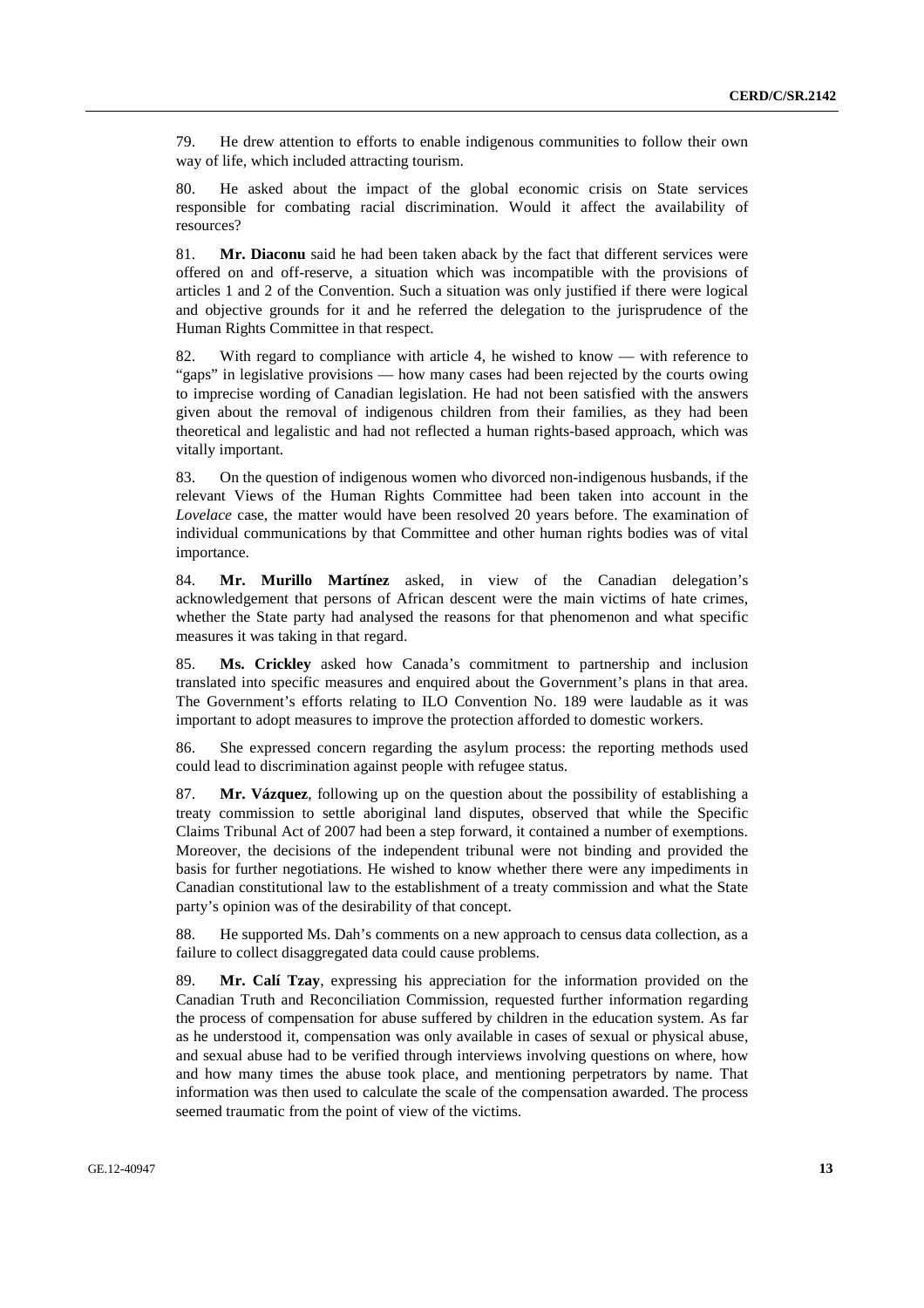79. He drew attention to efforts to enable indigenous communities to follow their own way of life, which included attracting tourism.

80. He asked about the impact of the global economic crisis on State services responsible for combating racial discrimination. Would it affect the availability of resources?

81. **Mr. Diaconu** said he had been taken aback by the fact that different services were offered on and off-reserve, a situation which was incompatible with the provisions of articles 1 and 2 of the Convention. Such a situation was only justified if there were logical and objective grounds for it and he referred the delegation to the jurisprudence of the Human Rights Committee in that respect.

82. With regard to compliance with article 4, he wished to know — with reference to "gaps" in legislative provisions — how many cases had been rejected by the courts owing to imprecise wording of Canadian legislation. He had not been satisfied with the answers given about the removal of indigenous children from their families, as they had been theoretical and legalistic and had not reflected a human rights-based approach, which was vitally important.

83. On the question of indigenous women who divorced non-indigenous husbands, if the relevant Views of the Human Rights Committee had been taken into account in the *Lovelace* case, the matter would have been resolved 20 years before. The examination of individual communications by that Committee and other human rights bodies was of vital importance.

84. **Mr. Murillo Martínez** asked, in view of the Canadian delegation's acknowledgement that persons of African descent were the main victims of hate crimes, whether the State party had analysed the reasons for that phenomenon and what specific measures it was taking in that regard.

85. **Ms. Crickley** asked how Canada's commitment to partnership and inclusion translated into specific measures and enquired about the Government's plans in that area. The Government's efforts relating to ILO Convention No. 189 were laudable as it was important to adopt measures to improve the protection afforded to domestic workers.

86. She expressed concern regarding the asylum process: the reporting methods used could lead to discrimination against people with refugee status.

87. **Mr. Vázquez**, following up on the question about the possibility of establishing a treaty commission to settle aboriginal land disputes, observed that while the Specific Claims Tribunal Act of 2007 had been a step forward, it contained a number of exemptions. Moreover, the decisions of the independent tribunal were not binding and provided the basis for further negotiations. He wished to know whether there were any impediments in Canadian constitutional law to the establishment of a treaty commission and what the State party's opinion was of the desirability of that concept.

88. He supported Ms. Dah's comments on a new approach to census data collection, as a failure to collect disaggregated data could cause problems.

89. **Mr. Calí Tzay**, expressing his appreciation for the information provided on the Canadian Truth and Reconciliation Commission, requested further information regarding the process of compensation for abuse suffered by children in the education system. As far as he understood it, compensation was only available in cases of sexual or physical abuse, and sexual abuse had to be verified through interviews involving questions on where, how and how many times the abuse took place, and mentioning perpetrators by name. That information was then used to calculate the scale of the compensation awarded. The process seemed traumatic from the point of view of the victims.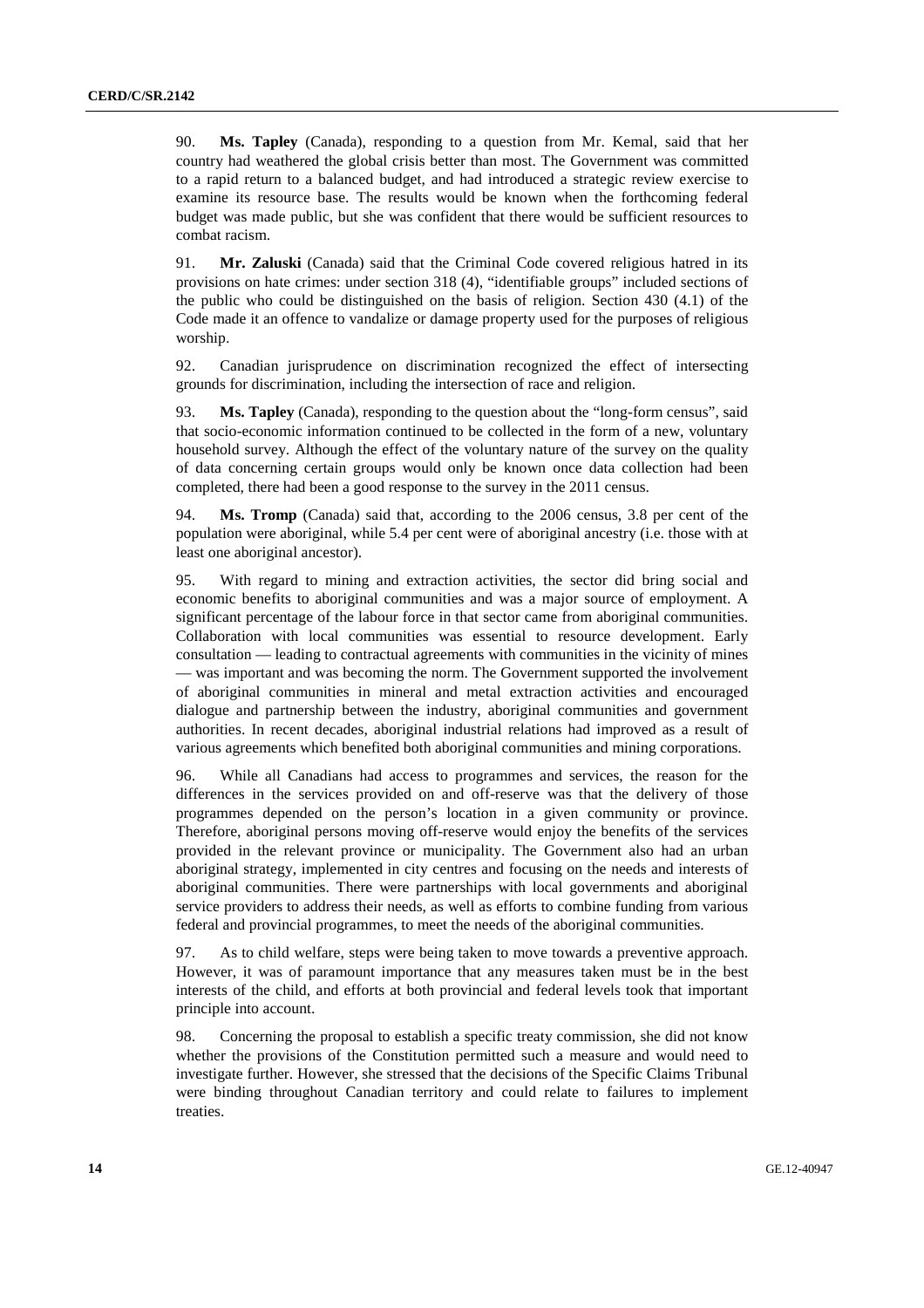90. **Ms. Tapley** (Canada), responding to a question from Mr. Kemal, said that her country had weathered the global crisis better than most. The Government was committed to a rapid return to a balanced budget, and had introduced a strategic review exercise to examine its resource base. The results would be known when the forthcoming federal budget was made public, but she was confident that there would be sufficient resources to combat racism.

91. **Mr. Zaluski** (Canada) said that the Criminal Code covered religious hatred in its provisions on hate crimes: under section 318 (4), "identifiable groups" included sections of the public who could be distinguished on the basis of religion. Section 430 (4.1) of the Code made it an offence to vandalize or damage property used for the purposes of religious worship.

92. Canadian jurisprudence on discrimination recognized the effect of intersecting grounds for discrimination, including the intersection of race and religion.

93. **Ms. Tapley** (Canada), responding to the question about the "long-form census", said that socio-economic information continued to be collected in the form of a new, voluntary household survey. Although the effect of the voluntary nature of the survey on the quality of data concerning certain groups would only be known once data collection had been completed, there had been a good response to the survey in the 2011 census.

94. **Ms. Tromp** (Canada) said that, according to the 2006 census, 3.8 per cent of the population were aboriginal, while 5.4 per cent were of aboriginal ancestry (i.e. those with at least one aboriginal ancestor).

95. With regard to mining and extraction activities, the sector did bring social and economic benefits to aboriginal communities and was a major source of employment. A significant percentage of the labour force in that sector came from aboriginal communities. Collaboration with local communities was essential to resource development. Early consultation — leading to contractual agreements with communities in the vicinity of mines — was important and was becoming the norm. The Government supported the involvement of aboriginal communities in mineral and metal extraction activities and encouraged dialogue and partnership between the industry, aboriginal communities and government authorities. In recent decades, aboriginal industrial relations had improved as a result of various agreements which benefited both aboriginal communities and mining corporations.

96. While all Canadians had access to programmes and services, the reason for the differences in the services provided on and off-reserve was that the delivery of those programmes depended on the person's location in a given community or province. Therefore, aboriginal persons moving off-reserve would enjoy the benefits of the services provided in the relevant province or municipality. The Government also had an urban aboriginal strategy, implemented in city centres and focusing on the needs and interests of aboriginal communities. There were partnerships with local governments and aboriginal service providers to address their needs, as well as efforts to combine funding from various federal and provincial programmes, to meet the needs of the aboriginal communities.

97. As to child welfare, steps were being taken to move towards a preventive approach. However, it was of paramount importance that any measures taken must be in the best interests of the child, and efforts at both provincial and federal levels took that important principle into account.

98. Concerning the proposal to establish a specific treaty commission, she did not know whether the provisions of the Constitution permitted such a measure and would need to investigate further. However, she stressed that the decisions of the Specific Claims Tribunal were binding throughout Canadian territory and could relate to failures to implement treaties.